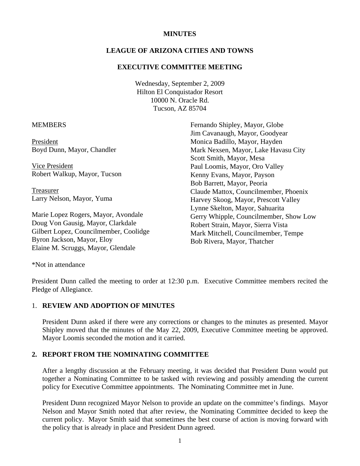#### **MINUTES**

# **LEAGUE OF ARIZONA CITIES AND TOWNS**

### **EXECUTIVE COMMITTEE MEETING**

Wednesday, September 2, 2009 Hilton El Conquistador Resort 10000 N. Oracle Rd. Tucson, AZ 85704

#### **MEMBERS**

President Boyd Dunn, Mayor, Chandler

 Vice President Robert Walkup, Mayor, Tucson

 Treasurer Larry Nelson, Mayor, Yuma

Marie Lopez Rogers, Mayor, Avondale Doug Von Gausig, Mayor, Clarkdale Gilbert Lopez, Councilmember, Coolidge Byron Jackson, Mayor, Eloy Elaine M. Scruggs, Mayor, Glendale

Fernando Shipley, Mayor, Globe Jim Cavanaugh, Mayor, Goodyear Monica Badillo, Mayor, Hayden Mark Nexsen, Mayor, Lake Havasu City Scott Smith, Mayor, Mesa Paul Loomis, Mayor, Oro Valley Kenny Evans, Mayor, Payson Bob Barrett, Mayor, Peoria Claude Mattox, Councilmember, Phoenix Harvey Skoog, Mayor, Prescott Valley Lynne Skelton, Mayor, Sahuarita Gerry Whipple, Councilmember, Show Low Robert Strain, Mayor, Sierra Vista Mark Mitchell, Councilmember, Tempe Bob Rivera, Mayor, Thatcher

\*Not in attendance

President Dunn called the meeting to order at 12:30 p.m. Executive Committee members recited the Pledge of Allegiance.

#### 1. **REVIEW AND ADOPTION OF MINUTES**

President Dunn asked if there were any corrections or changes to the minutes as presented. Mayor Shipley moved that the minutes of the May 22, 2009, Executive Committee meeting be approved. Mayor Loomis seconded the motion and it carried.

# **2. REPORT FROM THE NOMINATING COMMITTEE**

After a lengthy discussion at the February meeting, it was decided that President Dunn would put together a Nominating Committee to be tasked with reviewing and possibly amending the current policy for Executive Committee appointments. The Nominating Committee met in June.

President Dunn recognized Mayor Nelson to provide an update on the committee's findings. Mayor Nelson and Mayor Smith noted that after review, the Nominating Committee decided to keep the current policy. Mayor Smith said that sometimes the best course of action is moving forward with the policy that is already in place and President Dunn agreed.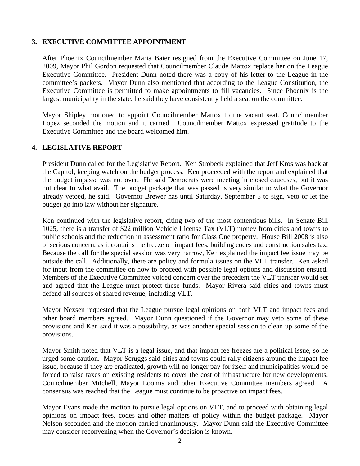## **3. EXECUTIVE COMMITTEE APPOINTMENT**

After Phoenix Councilmember Maria Baier resigned from the Executive Committee on June 17, 2009, Mayor Phil Gordon requested that Councilmember Claude Mattox replace her on the League Executive Committee. President Dunn noted there was a copy of his letter to the League in the committee's packets. Mayor Dunn also mentioned that according to the League Constitution, the Executive Committee is permitted to make appointments to fill vacancies. Since Phoenix is the largest municipality in the state, he said they have consistently held a seat on the committee.

Mayor Shipley motioned to appoint Councilmember Mattox to the vacant seat. Councilmember Lopez seconded the motion and it carried. Councilmember Mattox expressed gratitude to the Executive Committee and the board welcomed him.

### **4. LEGISLATIVE REPORT**

President Dunn called for the Legislative Report. Ken Strobeck explained that Jeff Kros was back at the Capitol, keeping watch on the budget process. Ken proceeded with the report and explained that the budget impasse was not over. He said Democrats were meeting in closed caucuses, but it was not clear to what avail. The budget package that was passed is very similar to what the Governor already vetoed, he said. Governor Brewer has until Saturday, September 5 to sign, veto or let the budget go into law without her signature.

Ken continued with the legislative report, citing two of the most contentious bills. In Senate Bill 1025, there is a transfer of \$22 million Vehicle License Tax (VLT) money from cities and towns to public schools and the reduction in assessment ratio for Class One property. House Bill 2008 is also of serious concern, as it contains the freeze on impact fees, building codes and construction sales tax. Because the call for the special session was very narrow, Ken explained the impact fee issue may be outside the call. Additionally, there are policy and formula issues on the VLT transfer. Ken asked for input from the committee on how to proceed with possible legal options and discussion ensued. Members of the Executive Committee voiced concern over the precedent the VLT transfer would set and agreed that the League must protect these funds. Mayor Rivera said cities and towns must defend all sources of shared revenue, including VLT.

Mayor Nexsen requested that the League pursue legal opinions on both VLT and impact fees and other board members agreed. Mayor Dunn questioned if the Governor may veto some of these provisions and Ken said it was a possibility, as was another special session to clean up some of the provisions.

Mayor Smith noted that VLT is a legal issue, and that impact fee freezes are a political issue, so he urged some caution. Mayor Scruggs said cities and towns could rally citizens around the impact fee issue, because if they are eradicated, growth will no longer pay for itself and municipalities would be forced to raise taxes on existing residents to cover the cost of infrastructure for new developments. Councilmember Mitchell, Mayor Loomis and other Executive Committee members agreed. A consensus was reached that the League must continue to be proactive on impact fees.

Mayor Evans made the motion to pursue legal options on VLT, and to proceed with obtaining legal opinions on impact fees, codes and other matters of policy within the budget package. Mayor Nelson seconded and the motion carried unanimously. Mayor Dunn said the Executive Committee may consider reconvening when the Governor's decision is known.